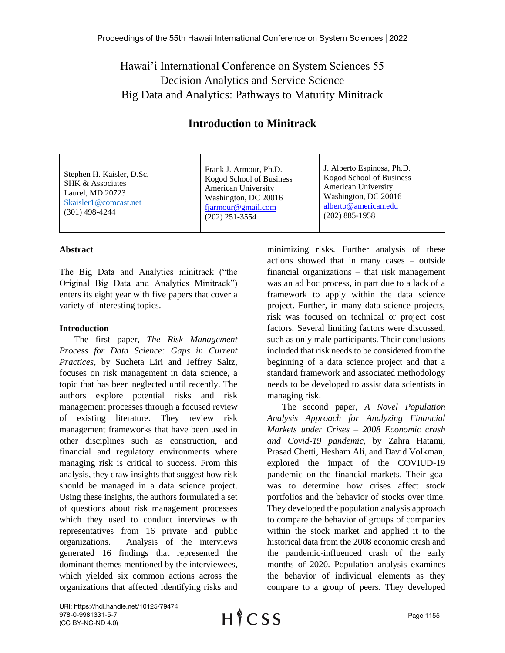## Hawai'i International Conference on System Sciences 55 Decision Analytics and Service Science [Big Data and Analytics: Pathways to Maturity Minitrack](https://hicss.hawaii.edu/tracks-55/decision-analytics-and-service-science/#big-data-and-analytics-pathways-to-maturity-minitrack)

## **Introduction to Minitrack**

Stephen H. Kaisler, D.Sc. SHK & Associates Laurel, MD 20723 Skaisler1@comcast.net (301) 498-4244

Frank J. Armour, Ph.D. Kogod School of Business American University Washington, DC 20016 [fjarmour@gmail.com](mailto:fjarmour@gmail.com) (202) 251-3554

J. Alberto Espinosa, Ph.D. Kogod School of Business American University Washington, DC 20016 [alberto@american.edu](mailto:alberto@american.edu) (202) 885-1958

## **Abstract**

The Big Data and Analytics minitrack ("the Original Big Data and Analytics Minitrack") enters its eight year with five papers that cover a variety of interesting topics.

## **Introduction**

The first paper, *The Risk Management Process for Data Science: Gaps in Current Practices*, by Sucheta Liri and Jeffrey Saltz, focuses on risk management in data science, a topic that has been neglected until recently. The authors explore potential risks and risk management processes through a focused review of existing literature. They review risk management frameworks that have been used in other disciplines such as construction, and financial and regulatory environments where managing risk is critical to success. From this analysis, they draw insights that suggest how risk should be managed in a data science project. Using these insights, the authors formulated a set of questions about risk management processes which they used to conduct interviews with representatives from 16 private and public organizations. Analysis of the interviews generated 16 findings that represented the dominant themes mentioned by the interviewees, which yielded six common actions across the organizations that affected identifying risks and

minimizing risks. Further analysis of these actions showed that in many cases – outside financial organizations – that risk management was an ad hoc process, in part due to a lack of a framework to apply within the data science project. Further, in many data science projects, risk was focused on technical or project cost factors. Several limiting factors were discussed, such as only male participants. Their conclusions included that risk needs to be considered from the beginning of a data science project and that a standard framework and associated methodology needs to be developed to assist data scientists in managing risk.

The second paper, *A Novel Population Analysis Approach for Analyzing Financial Markets under Crises – 2008 Economic crash and Covid-19 pandemic*, by Zahra Hatami, Prasad Chetti, Hesham Ali, and David Volkman, explored the impact of the COVIUD-19 pandemic on the financial markets. Their goal was to determine how crises affect stock portfolios and the behavior of stocks over time. They developed the population analysis approach to compare the behavior of groups of companies within the stock market and applied it to the historical data from the 2008 economic crash and the pandemic-influenced crash of the early months of 2020. Population analysis examines the behavior of individual elements as they compare to a group of peers. They developed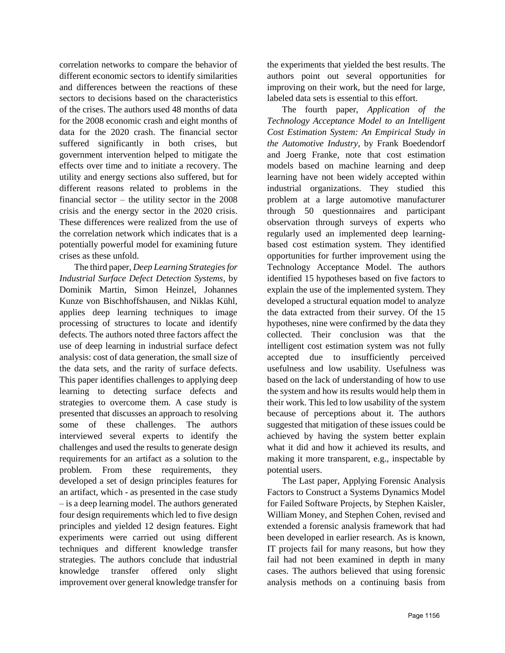correlation networks to compare the behavior of different economic sectors to identify similarities and differences between the reactions of these sectors to decisions based on the characteristics of the crises. The authors used 48 months of data for the 2008 economic crash and eight months of data for the 2020 crash. The financial sector suffered significantly in both crises, but government intervention helped to mitigate the effects over time and to initiate a recovery. The utility and energy sections also suffered, but for different reasons related to problems in the financial sector – the utility sector in the 2008 crisis and the energy sector in the 2020 crisis. These differences were realized from the use of the correlation network which indicates that is a potentially powerful model for examining future crises as these unfold.

The third paper, *Deep Learning Strategies for Industrial Surface Defect Detection Systems*, by Dominik Martin, Simon Heinzel, Johannes Kunze von Bischhoffshausen, and Niklas Kühl, applies deep learning techniques to image processing of structures to locate and identify defects. The authors noted three factors affect the use of deep learning in industrial surface defect analysis: cost of data generation, the small size of the data sets, and the rarity of surface defects. This paper identifies challenges to applying deep learning to detecting surface defects and strategies to overcome them. A case study is presented that discusses an approach to resolving some of these challenges. The authors interviewed several experts to identify the challenges and used the results to generate design requirements for an artifact as a solution to the problem. From these requirements, they developed a set of design principles features for an artifact, which - as presented in the case study – is a deep learning model. The authors generated four design requirements which led to five design principles and yielded 12 design features. Eight experiments were carried out using different techniques and different knowledge transfer strategies. The authors conclude that industrial knowledge transfer offered only slight improvement over general knowledge transfer for

the experiments that yielded the best results. The authors point out several opportunities for improving on their work, but the need for large, labeled data sets is essential to this effort.

The fourth paper, *Application of the Technology Acceptance Model to an Intelligent Cost Estimation System: An Empirical Study in the Automotive Industry*, by Frank Boedendorf and Joerg Franke, note that cost estimation models based on machine learning and deep learning have not been widely accepted within industrial organizations. They studied this problem at a large automotive manufacturer through 50 questionnaires and participant observation through surveys of experts who regularly used an implemented deep learningbased cost estimation system. They identified opportunities for further improvement using the Technology Acceptance Model. The authors identified 15 hypotheses based on five factors to explain the use of the implemented system. They developed a structural equation model to analyze the data extracted from their survey. Of the 15 hypotheses, nine were confirmed by the data they collected. Their conclusion was that the intelligent cost estimation system was not fully accepted due to insufficiently perceived usefulness and low usability. Usefulness was based on the lack of understanding of how to use the system and how its results would help them in their work. This led to low usability of the system because of perceptions about it. The authors suggested that mitigation of these issues could be achieved by having the system better explain what it did and how it achieved its results, and making it more transparent, e.g., inspectable by potential users.

The Last paper, Applying Forensic Analysis Factors to Construct a Systems Dynamics Model for Failed Software Projects, by Stephen Kaisler, William Money, and Stephen Cohen, revised and extended a forensic analysis framework that had been developed in earlier research. As is known, IT projects fail for many reasons, but how they fail had not been examined in depth in many cases. The authors believed that using forensic analysis methods on a continuing basis from